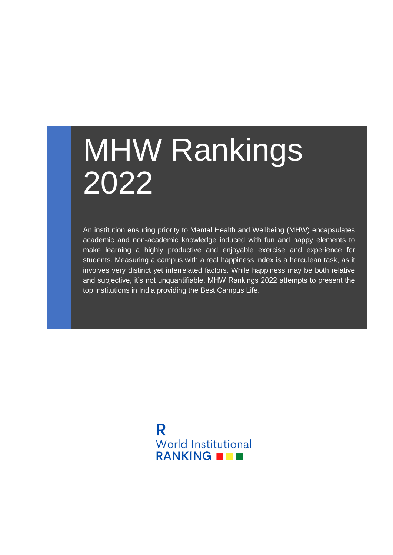# MHW Rankings 2022

An institution ensuring priority to Mental Health and Wellbeing (MHW) encapsulates academic and non-academic knowledge induced with fun and happy elements to make learning a highly productive and enjoyable exercise and experience for students. Measuring a campus with a real happiness index is a herculean task, as it involves very distinct yet interrelated factors. While happiness may be both relative and subjective, it's not unquantifiable. MHW Rankings 2022 attempts to present the top institutions in India providing the Best Campus Life.

> R **World Institutional** RANKING **NO B**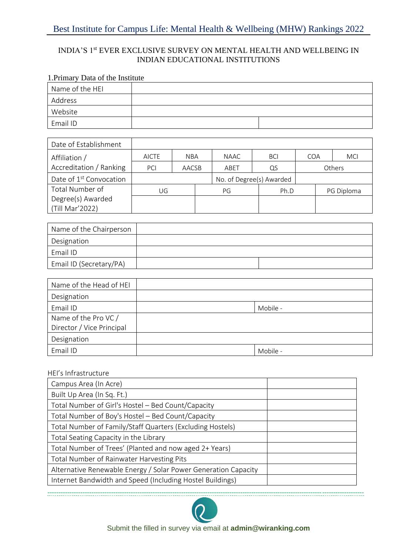## Best Institute for Campus Life: Mental Health & Wellbeing (MHW) Rankings 2022

## INDIA'S 1st EVER EXCLUSIVE SURVEY ON MENTAL HEALTH AND WELLBEING IN INDIAN EDUCATIONAL INSTITUTIONS

## 1.Primary Data of the Institute

| Name of the HEI |  |
|-----------------|--|
| Address         |  |
| Website         |  |
| Email ID        |  |

| Date of Establishment               |              |            |    |      |                          |      |  |               |
|-------------------------------------|--------------|------------|----|------|--------------------------|------|--|---------------|
| Affiliation /                       | <b>AICTE</b> | <b>NBA</b> |    | NAAC | <b>BCI</b>               | COA  |  | <b>MCI</b>    |
| Accreditation / Ranking             | <b>PCI</b>   | AACSB      |    | ABET | QS                       |      |  | <b>Others</b> |
| Date of 1 <sup>st</sup> Convocation |              |            |    |      | No. of Degree(s) Awarded |      |  |               |
| Total Number of                     | UG           |            | PG |      |                          | Ph.D |  | PG Diploma    |
| Degree(s) Awarded                   |              |            |    |      |                          |      |  |               |
| (Till Mar'2022)                     |              |            |    |      |                          |      |  |               |

| Name of the Chairperson |  |
|-------------------------|--|
| Designation             |  |
| Email ID                |  |
| Email ID (Secretary/PA) |  |

| Name of the Head of HEI   |          |
|---------------------------|----------|
| Designation               |          |
| Email ID                  | Mobile - |
| Name of the Pro VC /      |          |
| Director / Vice Principal |          |
| Designation               |          |
| Email ID                  | Mobile - |

#### HEI's Infrastructure

| Campus Area (In Acre)                                          |  |
|----------------------------------------------------------------|--|
| Built Up Area (In Sq. Ft.)                                     |  |
| Total Number of Girl's Hostel - Bed Count/Capacity             |  |
| Total Number of Boy's Hostel - Bed Count/Capacity              |  |
| Total Number of Family/Staff Quarters (Excluding Hostels)      |  |
| Total Seating Capacity in the Library                          |  |
| Total Number of Trees' (Planted and now aged 2+ Years)         |  |
| Total Number of Rainwater Harvesting Pits                      |  |
| Alternative Renewable Energy / Solar Power Generation Capacity |  |
| Internet Bandwidth and Speed (Including Hostel Buildings)      |  |



------------------------------------------------------------------------------------------------------------------------------------------------

Submit the filled in survey via email at **admin@wiranking.com**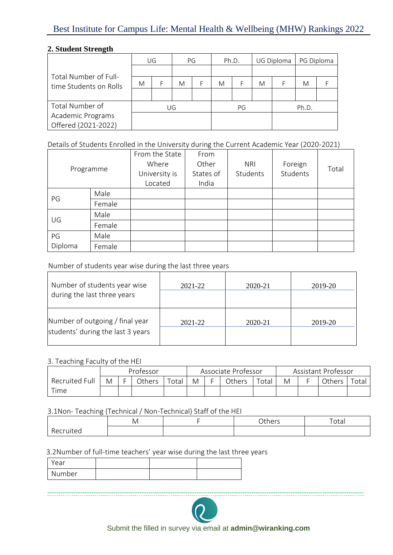## Best Institute for Campus Life: Mental Health & Wellbeing (MHW) Rankings 2022

## **2. Student Strength**

|                        | UG |  | PG |  | Ph.D. |  | UG Diploma |       | PG Diploma |  |
|------------------------|----|--|----|--|-------|--|------------|-------|------------|--|
| Total Number of Full-  |    |  |    |  |       |  |            |       |            |  |
| time Students on Rolls | M  |  | M  |  | M     |  | M          |       | M          |  |
|                        |    |  |    |  |       |  |            |       |            |  |
| Total Number of        |    |  | UG |  | PG    |  |            | Ph.D. |            |  |
| Academic Programs      |    |  |    |  |       |  |            |       |            |  |
| Offered (2021-2022)    |    |  |    |  |       |  |            |       |            |  |

Details of Students Enrolled in the University during the Current Academic Year (2020-2021)

| Programme |        | From the State<br>Where<br>University is<br>Located | From<br>Other<br>States of<br>India | <b>NRI</b><br>Students | Foreign<br>Students | Total |
|-----------|--------|-----------------------------------------------------|-------------------------------------|------------------------|---------------------|-------|
| PG        | Male   |                                                     |                                     |                        |                     |       |
|           | Female |                                                     |                                     |                        |                     |       |
| UG        | Male   |                                                     |                                     |                        |                     |       |
|           | Female |                                                     |                                     |                        |                     |       |
| PG        | Male   |                                                     |                                     |                        |                     |       |
| Diploma   | Female |                                                     |                                     |                        |                     |       |

Number of students year wise during the last three years

| Number of students year wise<br>during the last three years          | 2021-22 | 2020-21 | 2019-20 |
|----------------------------------------------------------------------|---------|---------|---------|
| Number of outgoing / final year<br>students' during the last 3 years | 2021-22 | 2020-21 | 2019-20 |

#### 3. Teaching Faculty of the HEI

|                | Professor |  |        | Associate Professor |   |  | Assistant Professor |             |   |  |        |       |
|----------------|-----------|--|--------|---------------------|---|--|---------------------|-------------|---|--|--------|-------|
| Recruited Full | M         |  | Others | $\tau$ otal         | M |  | <b>Others</b>       | $\tau$ otal | M |  | Others | Totai |
| Time           |           |  |        |                     |   |  |                     |             |   |  |        |       |

3.1Non- Teaching (Technical / Non-Technical) Staff of the HEI

|                   | . .<br>IVI. | <b>Others</b> | $T_{\alpha+\alpha}$<br>Uldi |
|-------------------|-------------|---------------|-----------------------------|
| D<br>uited<br>۱۲۲ |             |               |                             |

3.2Number of full-time teachers' year wise during the last three years

| ear .  |  |  |
|--------|--|--|
| Number |  |  |



------------------------------------------------------------------------------------------------------------------------------------------------

Submit the filled in survey via email at **admin@wiranking.com**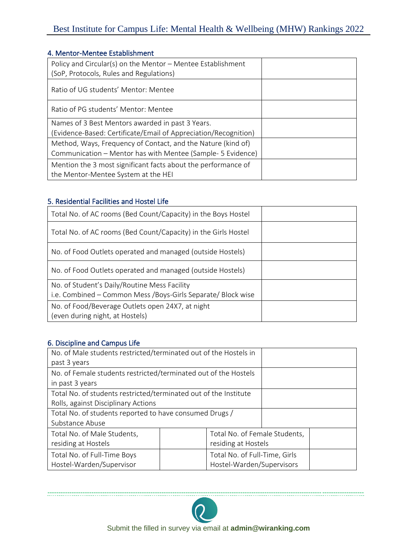## Best Institute for Campus Life: Mental Health & Wellbeing (MHW) Rankings 2022

#### 4. Mentor-Mentee Establishment

| Policy and Circular(s) on the Mentor - Mentee Establishment<br>(SoP, Protocols, Rules and Regulations)                      |  |
|-----------------------------------------------------------------------------------------------------------------------------|--|
| Ratio of UG students' Mentor: Mentee                                                                                        |  |
| Ratio of PG students' Mentor: Mentee                                                                                        |  |
| Names of 3 Best Mentors awarded in past 3 Years.                                                                            |  |
| (Evidence-Based: Certificate/Email of Appreciation/Recognition)                                                             |  |
| Method, Ways, Frequency of Contact, and the Nature (kind of)<br>Communication – Mentor has with Mentee (Sample- 5 Evidence) |  |
| Mention the 3 most significant facts about the performance of                                                               |  |
| the Mentor-Mentee System at the HEI                                                                                         |  |
|                                                                                                                             |  |

## 5. Residential Facilities and Hostel Life

| Total No. of AC rooms (Bed Count/Capacity) in the Boys Hostel                                                 |  |
|---------------------------------------------------------------------------------------------------------------|--|
| Total No. of AC rooms (Bed Count/Capacity) in the Girls Hostel                                                |  |
| No. of Food Outlets operated and managed (outside Hostels)                                                    |  |
| No. of Food Outlets operated and managed (outside Hostels)                                                    |  |
| No. of Student's Daily/Routine Mess Facility<br>i.e. Combined – Common Mess / Boys-Girls Separate/ Block wise |  |
| No. of Food/Beverage Outlets open 24X7, at night<br>(even during night, at Hostels)                           |  |

### 6. Discipline and Campus Life

| No. of Male students restricted/terminated out of the Hostels in<br>past 3 years                        |  |                                                            |  |  |
|---------------------------------------------------------------------------------------------------------|--|------------------------------------------------------------|--|--|
| No. of Female students restricted/terminated out of the Hostels<br>in past 3 years                      |  |                                                            |  |  |
| Total No. of students restricted/terminated out of the Institute<br>Rolls, against Disciplinary Actions |  |                                                            |  |  |
| Total No. of students reported to have consumed Drugs /<br>Substance Abuse                              |  |                                                            |  |  |
| Total No. of Male Students,<br>residing at Hostels                                                      |  | Total No. of Female Students,<br>residing at Hostels       |  |  |
| Total No. of Full-Time Boys<br>Hostel-Warden/Supervisor                                                 |  | Total No. of Full-Time, Girls<br>Hostel-Warden/Supervisors |  |  |



------------------------------------------------------------------------------------------------------------------------------------------------